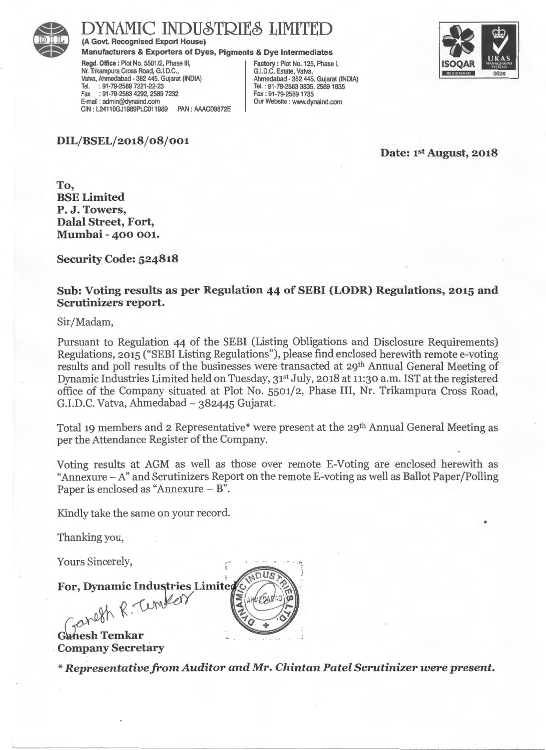

(A Govt. Recognised Export House)

Manufacturers & Exporters of Dyes, Pigments & Dye Intermediates

Regd. Office: Plot No. 5501/2, Phase Ill, Nr. Trikampura Cross Road, G.I.D.C. , Vatva, Ahmedabad - 382 445. Gujarat (INDIA) Tel. : 91· 79-2589 7221-22-23 Fax : 91-79-2583 4292, 2589 7232 E-mail : admin@dynaind.com CIN : L24110GJ1989PLC011989 PAN : AAACD9872E Factory : Plot No. 125, Phase I, G.I.D.C. Estate, Vatva, Ahmedabad • 382 445. Gujarat (INDIA) Tel. : 91·79·2583 3835, 25891835 Fax : 91-79-2589 1735 Our Website : www.dynaind.com



•

DIL/BSEL/2018/08/001

Date: 1st August, 2018

To, BSE Limited P. J. Towers, Dalal Street, Fort, Mumbai - 400 001.

Security Code: 524818

#### Sub: Voting results as per Regulation 44 of SEBI (LODR) Regulations, 2015 and Scrutinizers report.

Sir/Madam,

Pursuant to Regulation 44 of the SEBI (Listing Obligations and Disclosure Requirements) Regulations, 2015 ("SEBI Listing Regulations"), please find enclosed herewith remote e-voting results and poll results of the businesses were transacted at 29th Annual General Meeting of Dynamic Industries Limited held on Tuesday, 31<sup>st</sup> July, 2018 at 11:30 a.m. IST at the registered office of the Company situated at Plot No. 5501/2, Phase III, Nr. Trikampura Cross Road, G.LD.C. Vatva, Ahmedabad- 382445 Gujarat.

Total 19 members and 2 Representative\* were present at the 29<sup>th</sup> Annual General Meeting as per the Attendance Register of the Company.

Voting results at AGM as well as those over remote E-Voting are enclosed herewith as "Annexure- A" and Scrutinizers Report on the remote E-voting as well as Ballot Paper/Polling Paper is enclosed as "Annexure - B".

Kindly take the same on your record.

Thanking you,

Yours Sincerely,

For, Dynamic Industries Limited

Faneth R. Tember

Ganesh Temkar . Company Secretary

*\*Representative* from *Auditor and Mr. Chin tan Patel Scrutinizer were present.* 

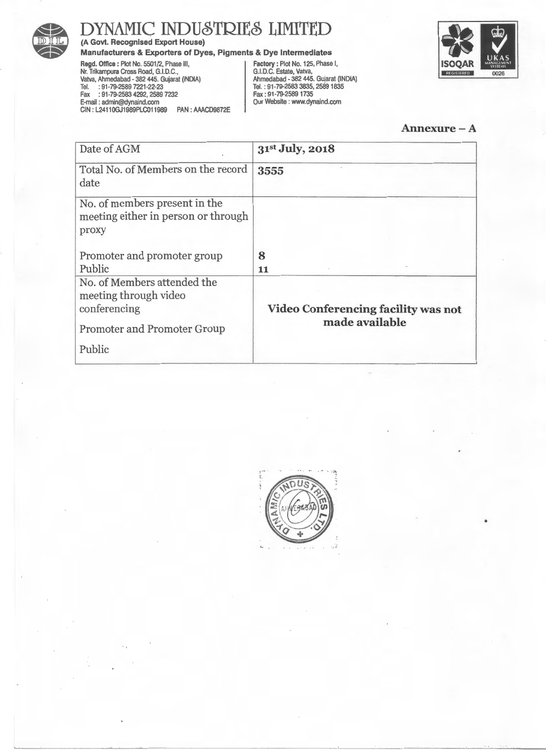

(A Govt. Recognised Export House)

Manufacturers & Exporters of Dyes, Pigments & Dye Intermediates

Regd. Office : Plot No. 5501/2, Phase Ill, Nr. Trikampura Cross Road, G.I.D.C., Valva, Ahmedabad • 382 445. Gujarat (INDIA) Tel. : 91-79-2589 7221·22·23 Fax : 91· 79-2583 4292, 2589 7232 E·mail : admin@dynaind.com CIN : L2411 OGJ1989PLC011989 PAN : AAACD9872E

Factory: Plot No. 125, Phase I, G.I.D.C. Estate, Valva, Ahmedabad • 382 445. Gujarat (INDIA) Tel. : 91·79·2583 3835,25891835 Fax : 91· 79-2589 1735 Our Website : www.dynaind.com



Annexure-A

| Date of AGM                                                                                                          | 31st July, 2018                                              |
|----------------------------------------------------------------------------------------------------------------------|--------------------------------------------------------------|
| Total No. of Members on the record<br>date                                                                           | 3555                                                         |
| No. of members present in the<br>meeting either in person or through<br>proxy                                        |                                                              |
| Promoter and promoter group                                                                                          | 8                                                            |
| Public                                                                                                               | 11                                                           |
| No. of Members attended the<br>meeting through video<br>conferencing<br><b>Promoter and Promoter Group</b><br>Public | <b>Video Conferencing facility was not</b><br>made available |

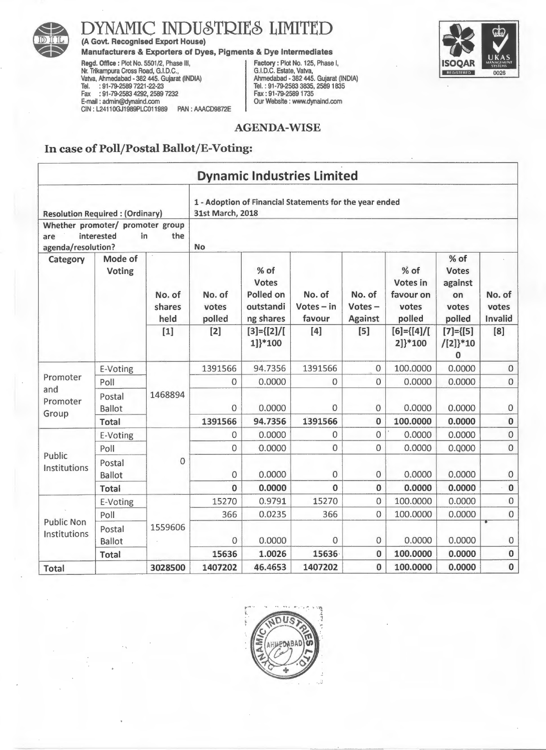

(A Govt. Recognised Export House)

#### Manufacturers & Exporters of Dyes, Pigments & Dye Intermediates

Regd. Office: Plot No. 5501/2, Phase Ill, Nr. Trikampura Cross Road, G.I.D.C., Vatva, Ahmedabad- 382 445. Gujarat (INDIA) Tel. : 91-79-2589 7221-22-23 Fax : 91-79-2583 4292, 2589 7232 E-mail : admin@dynaind.com CIN : L2411 OGJ1989PLC011989 PAN : AAACD9872E Factory: Plot No. 125, Phase I, G.I.D.C. Estate, Vatva, Ahmedabad- 382 445. Gujarat (INDIA) Tel.: 91-79-2583 3835,25891835 Fax : 91-79-25891735 Our Website : www.dynaind.com



#### AGENDA-WISE

#### In case of Poll/Postal Ballot/E-Voting:

|                                                               |                          |                          |                           |                                                      | <b>Dynamic Industries Limited</b>                       |                                    |                                                  |                                                            |                            |
|---------------------------------------------------------------|--------------------------|--------------------------|---------------------------|------------------------------------------------------|---------------------------------------------------------|------------------------------------|--------------------------------------------------|------------------------------------------------------------|----------------------------|
| <b>Resolution Required: (Ordinary)</b>                        |                          |                          | 31st March, 2018          |                                                      | 1 - Adoption of Financial Statements for the year ended |                                    |                                                  |                                                            |                            |
| Whether promoter/ promoter group<br>are<br>agenda/resolution? | interested               | in.<br>the               | <b>No</b>                 |                                                      |                                                         |                                    |                                                  |                                                            |                            |
| Category                                                      | Mode of<br><b>Voting</b> | No. of<br>shares<br>held | No. of<br>votes<br>polled | % of<br>Votes<br>Polled on<br>outstandi<br>ng shares | No. of<br>$Votes - in$<br>favour                        | No. of<br>Votes-<br><b>Against</b> | % of<br>Votes in<br>favour on<br>votes<br>polled | $%$ of<br><b>Votes</b><br>against<br>on<br>votes<br>polled | No. of<br>votes<br>Invalid |
|                                                               |                          | $[1]$                    | $[2]$                     | $[3] = \{ [2] / [$<br>1]}*100                        | $[4]$                                                   | $[5]$                              | $[6] = \{ [4] / [$<br>2]}*100                    | $[7] = \{ [5]$<br>$/[2]$ <sup>*10</sup><br>$\bf{0}$        | [8]                        |
|                                                               | E-Voting                 | 1468894                  | 1391566                   | 94.7356                                              | 1391566                                                 | $\overline{0}$                     | 100.0000                                         | 0.0000                                                     | $\mathbf{O}$               |
| Promoter<br>and                                               | Poll                     |                          | 0                         | 0.0000                                               | 0                                                       | $\mathbf 0$                        | 0.0000                                           | 0.0000                                                     | $\mathbf 0$                |
| Promoter<br>Group                                             | Postal<br><b>Ballot</b>  |                          | 0                         | 0.0000                                               | $\mathbf 0$                                             | 0                                  | 0.0000                                           | 0.0000                                                     | $\mathbf 0$                |
|                                                               | <b>Total</b>             |                          | 1391566                   | 94.7356                                              | 1391566                                                 | $\bf{0}$                           | 100.0000                                         | 0.0000                                                     | $\pmb{0}$                  |
|                                                               | E-Voting                 |                          | 0                         | 0.0000                                               | $\mathbf 0$                                             | $\mathbf 0$                        | 0.0000                                           | 0.0000                                                     | $\mathbf 0$                |
| Public                                                        | Poll                     |                          | $\overline{0}$            | 0.0000                                               | $\overline{0}$                                          | $\overline{0}$                     | 0.0000                                           | 0.0000                                                     | $\mathbf 0$                |
| Institutions                                                  | Postal<br><b>Ballot</b>  | 0                        | 0                         | 0.0000                                               | $\mathbf{O}$                                            | 0                                  | 0.0000                                           | 0.0000                                                     | $\boldsymbol{0}$           |
|                                                               | <b>Total</b>             |                          | $\bf{0}$                  | 0.0000                                               | $\bf{0}$                                                | $\bf{0}$                           | 0.0000                                           | 0.0000                                                     | $\pmb{0}$                  |
|                                                               | E-Voting                 |                          | 15270                     | 0.9791                                               | 15270                                                   | 0                                  | 100.0000                                         | 0.0000                                                     | $\mathbf 0$                |
|                                                               | Poll                     |                          | 366                       | 0.0235                                               | 366                                                     | 0                                  | 100.0000                                         | 0.0000                                                     | $\mathbf 0$                |
| <b>Public Non</b><br>Institutions                             | Postal<br>Ballot         | 1559606                  | 0                         | 0.0000                                               | $\mathbf 0$                                             | $\mathbf 0$                        | 0.0000                                           | 0.0000                                                     | $\mathbf 0$                |
|                                                               | <b>Total</b>             |                          | 15636                     | 1.0026                                               | 15636                                                   | $\bf{0}$                           | 100.0000                                         | 0.0000                                                     | $\bf{0}$                   |
| <b>Total</b>                                                  |                          | 3028500                  | 1407202                   | 46.4653                                              | 1407202                                                 | $\bf{0}$                           | 100.0000                                         | 0.0000                                                     | $\mathbf 0$                |

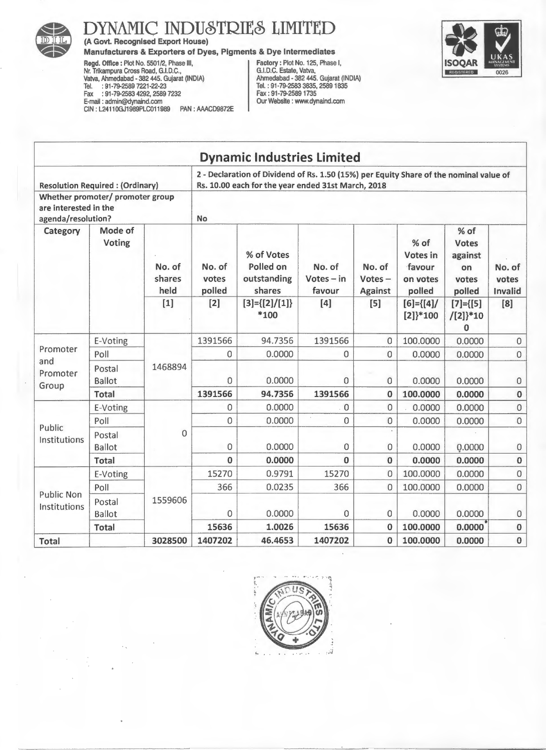

(A Govt. Recognised Export House)

#### Manufacturers & Exporters of Dyes, Pigments & Dye Intermediates

Regd. Office: Plot No. 5501/2, Phase Ill, Nr. Trikampura Cross Road, G.I.D.C., Valva, Ahmedabad - 382 445. Gujarat (INDIA) Tel. : 91-79-2589 7221-22-23 Fax : 91-79-2583 4292, 2589 7232 E-mail : admin@dynaind.com CIN: L24110GJ1989PLC011989 PAN: AAACD9872E Factory: Plot No. 125, Phase I, G.I.D.C. Estate, Valva, Ahmedabad - 382 445. Gujarat (INDIA) Tel. : 91-79-2583 3835, 25891835 Fax : 91-79-2589 1735 Our Website : www.dynaind.com



|                                                                                              |                                        |                          |                           | <b>Dynamic Industries Limited</b>                                                                                                            |                                  |                                       |                                                    |                                                          |                            |
|----------------------------------------------------------------------------------------------|----------------------------------------|--------------------------|---------------------------|----------------------------------------------------------------------------------------------------------------------------------------------|----------------------------------|---------------------------------------|----------------------------------------------------|----------------------------------------------------------|----------------------------|
|                                                                                              | <b>Resolution Required: (Ordinary)</b> |                          |                           | 2 - Declaration of Dividend of Rs. 1.50 (15%) per Equity Share of the nominal value of<br>Rs. 10.00 each for the year ended 31st March, 2018 |                                  |                                       |                                                    |                                                          |                            |
| Whether promoter/ promoter group<br>are interested in the<br>agenda/resolution?<br><b>No</b> |                                        |                          |                           |                                                                                                                                              |                                  |                                       |                                                    |                                                          |                            |
| Mode of<br>Category<br>Voting                                                                |                                        | No. of<br>shares<br>held | No. of<br>votes<br>polled | % of Votes<br>Polled on<br>outstanding<br>shares                                                                                             | No. of<br>$Votes - in$<br>favour | No. of<br>$Votes -$<br><b>Against</b> | $%$ of<br>Votes in<br>favour<br>on votes<br>polled | % of<br><b>Votes</b><br>against<br>on<br>votes<br>polled | No. of<br>votes<br>Invalid |
|                                                                                              |                                        | $[1]$                    | $[2]$                     | $[3] = \{ [2] / [1] \}$<br>*100                                                                                                              | $[4]$                            | [5]                                   | $[6] = \{ [4] \}$<br>$[2]$ <sup>*100</sup>         | $[7] = {[5]}$<br>$/[2]$ <sup>*10</sup><br>$\bf{0}$       | [8]                        |
| E-Voting<br>Promoter<br>Poll                                                                 |                                        | 1391566                  | 94.7356                   | 1391566                                                                                                                                      | $\Omega$                         | 100.0000                              | 0.0000                                             | $\mathbf 0$                                              |                            |
|                                                                                              |                                        |                          | 0                         | 0.0000                                                                                                                                       | $\Omega$                         | 0                                     | 0.0000                                             | 0.0000                                                   | $\mathbf 0$                |
| Promoter<br>Group                                                                            | and<br>Postal<br><b>Ballot</b>         | 1468894                  | 0                         | 0.0000                                                                                                                                       | 0                                | $\overline{0}$                        | 0.0000                                             | 0.0000                                                   | $\boldsymbol{0}$           |
|                                                                                              | <b>Total</b>                           |                          | 1391566                   | 94.7356                                                                                                                                      | 1391566                          | $\bf{0}$                              | 100.0000                                           | 0.0000                                                   | $\pmb{0}$                  |
|                                                                                              | E-Voting                               |                          | 0                         | 0.0000                                                                                                                                       | $\mathbf 0$                      | $\overline{0}$                        | 0.0000                                             | 0.0000                                                   | $\mathsf{O}\xspace$        |
| Public                                                                                       | Poll                                   |                          | 0                         | 0.0000                                                                                                                                       | 0                                | $\overline{0}$                        | 0.0000                                             | 0.0000                                                   | $\mathbf 0$                |
| Institutions                                                                                 | Postal<br>Ballot                       | $\mathbf 0$              | 0                         | 0.0000                                                                                                                                       | 0                                | $\mathbf 0$                           | 0.0000                                             | Q.0000                                                   | 0                          |
|                                                                                              | <b>Total</b>                           |                          | $\Omega$                  | 0.0000                                                                                                                                       | $\Omega$                         | $\bf{0}$                              | 0.0000                                             | 0.0000                                                   | $\bf{0}$                   |
|                                                                                              | E-Voting                               |                          | 15270                     | 0.9791                                                                                                                                       | 15270                            | $\Omega$                              | 100.0000                                           | 0.0000                                                   | $\overline{0}$             |
|                                                                                              | Poll                                   |                          | 366                       | 0.0235                                                                                                                                       | 366                              | $\overline{0}$                        | 100.0000                                           | 0.0000                                                   | $\mathbf 0$                |
| <b>Public Non</b><br>Institutions                                                            | Postal<br>Ballot                       | 1559606                  | 0                         | 0.0000                                                                                                                                       | 0                                | $\overline{0}$                        | 0.0000                                             | 0.0000                                                   | $\mathbf 0$                |
|                                                                                              | <b>Total</b>                           |                          | 15636                     | 1.0026                                                                                                                                       | 15636                            | $\Omega$                              | 100.0000                                           | 0.0000                                                   | $\bf{0}$                   |
| <b>Total</b>                                                                                 |                                        | 3028500                  | 1407202                   | 46.4653                                                                                                                                      | 1407202                          | $\mathbf 0$                           | 100.0000                                           | 0.0000                                                   | $\bf{0}$                   |

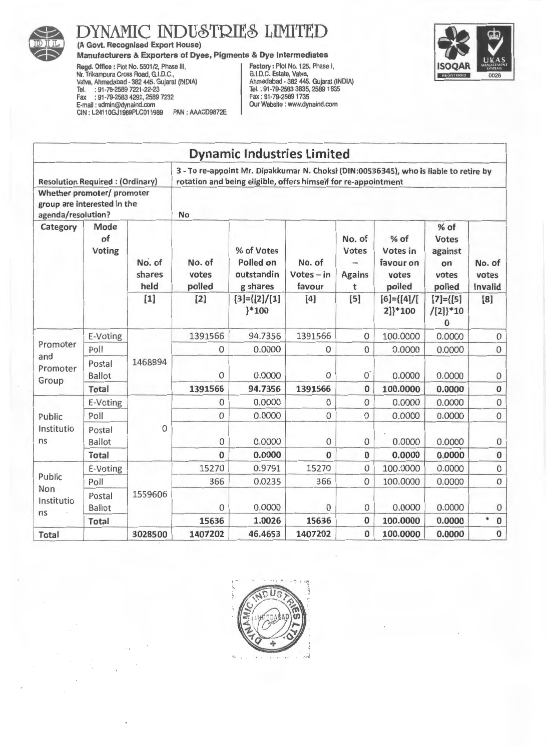

(A Govt. Recognised Export House)

#### Manufacturers & Exporters of Dyes, Pigments & Dye Intermediates

Regd. Office: Plot No. 5501/2, Phase Ill, Nr. Trikampura Cross Road, G.I.D.C., Vatva, Ahmedabad • 382 445. Gujarat (INDIA) Tel. : 91·79-2589 7221·22·23 Fax : 91-79·2583 4292, 2589 7232 E-mail : admin@dynaind.com CIN : L2411 OGJ1989PLC011989 PAN : AAACD9872E

Factory : Plot No. 125, Phase I, G.I.D.C. Estate, Vatva, Ahmedabad • 382 445. Gujarat (INDIA) Tel.: 91·79-2583 3835,25891835 Fax: 91·79-25891735 Our Website : www.dynaind.com



|                                                                                 |                         |                          |                           | <b>Dynamic Industries Limited</b>                                                                                                                       |                                  |                                              |                                                    |                                                            |                            |
|---------------------------------------------------------------------------------|-------------------------|--------------------------|---------------------------|---------------------------------------------------------------------------------------------------------------------------------------------------------|----------------------------------|----------------------------------------------|----------------------------------------------------|------------------------------------------------------------|----------------------------|
| <b>Resolution Required: (Ordinary)</b>                                          |                         |                          |                           | 3 - To re-appoint Mr. Dipakkumar N. Choksi (DIN:00536345), who is liable to retire by<br>rotation and being eligible, offers himself for re-appointment |                                  |                                              |                                                    |                                                            |                            |
| Whether promoter/ promoter<br>group are interested in the<br>agenda/resolution? |                         |                          | <b>No</b>                 |                                                                                                                                                         |                                  |                                              |                                                    |                                                            |                            |
| Mode<br>Category<br>of<br><b>Voting</b>                                         |                         | No. of<br>shares<br>held | No. of<br>votes<br>polled | % of Votes<br>Polled on<br>outstandin<br>g shares                                                                                                       | No. of<br>$Votes - in$<br>favour | No. of<br><b>Votes</b><br><b>Agains</b><br>t | $%$ of<br>Votes in<br>favour on<br>votes<br>polled | $%$ of<br><b>Votes</b><br>against<br>on<br>votes<br>polled | No. of<br>votes<br>Invalid |
|                                                                                 |                         | $[1]$                    | $[2]$                     | $[3] = \{ [2] / [1]$<br>$*100$                                                                                                                          | $[4]$                            | [5]                                          | $[6] = \{ [4] / [$<br>2]}*100                      | $[7] = \{ [5]$<br>$/[2]$ <sup>*10</sup><br>0               | [8]                        |
| Promoter<br>Poll<br>and<br>Postal<br>Promoter<br><b>Ballot</b><br>Group         | E-Voting                |                          | 1391566                   | 94.7356                                                                                                                                                 | 1391566                          | $\mathbf 0$                                  | 100.0000                                           | 0.0000                                                     | $\mathbf 0$                |
|                                                                                 |                         |                          | $\mathbf{O}$              | 0.0000                                                                                                                                                  | $\mathbf 0$                      | $\mathbf 0$                                  | 0.0000                                             | 0.0000                                                     | $\boldsymbol{0}$           |
|                                                                                 |                         | 1468894                  | $\mathbf 0$               | 0.0000                                                                                                                                                  | 0                                | $\mathbf{0}^{\cdot}$                         | 0.0000                                             | 0.0000                                                     | 0                          |
|                                                                                 | <b>Total</b>            |                          | 1391566                   | 94.7356                                                                                                                                                 | 1391566                          | $\bf{0}$                                     | 100.0000                                           | 0.0000                                                     | $\pmb{0}$                  |
|                                                                                 | E-Voting                |                          | $\circ$                   | 0.0000                                                                                                                                                  | $\mathbf 0$                      | $\mathbf 0$                                  | 0.0000                                             | 0.0000                                                     | $\boldsymbol{0}$           |
| Public                                                                          | Poll                    |                          | $\mathbf 0$               | 0.0000                                                                                                                                                  | $\mathbf 0$                      | $\mathbf{0}$                                 | 0.0000                                             | 0.0000                                                     | $\mathbf 0$                |
| Institutio<br>ns                                                                | Postal<br><b>Ballot</b> | 0                        | $\mathbf 0$               | 0.0000                                                                                                                                                  | $\boldsymbol{0}$                 | $\mathbf{0}$                                 | 0.0000                                             | 0.0000                                                     | $\boldsymbol{0}$           |
|                                                                                 | <b>Total</b>            |                          | $\bf{0}$                  | 0.0000                                                                                                                                                  | $\Omega$                         | $\bf{0}$                                     | 0.0000                                             | 0.0000                                                     | $\bf{0}$                   |
|                                                                                 | E-Voting                |                          | 15270                     | 0.9791                                                                                                                                                  | 15270                            | $\mathbf 0$                                  | 100.0000                                           | 0.0000                                                     | $\mathsf{O}\xspace$        |
| Public                                                                          | Poll                    |                          | 366                       | 0.0235                                                                                                                                                  | 366                              | $\mathbf{0}$                                 | 100.0000                                           | 0.0000                                                     | $\boldsymbol{0}$           |
| Non<br>Institutio<br>ns                                                         | Postal<br><b>Ballot</b> | 1559606                  | 0                         | 0.0000                                                                                                                                                  | $\overline{0}$                   | $\mathbf{0}$                                 | 0.0000                                             | 0.0000                                                     | $\mathbf 0$                |
|                                                                                 | Total                   |                          | 15636                     | 1.0026                                                                                                                                                  | 15636                            | $\pmb{0}$                                    | 100.0000                                           | 0.0000                                                     | ۰<br>$\bf{0}$              |
| Total                                                                           |                         | 3028500                  | 1407202                   | 46.4653                                                                                                                                                 | 1407202                          | $\bf{0}$                                     | 100.0000                                           | 0.0000                                                     | $\bf{0}$                   |

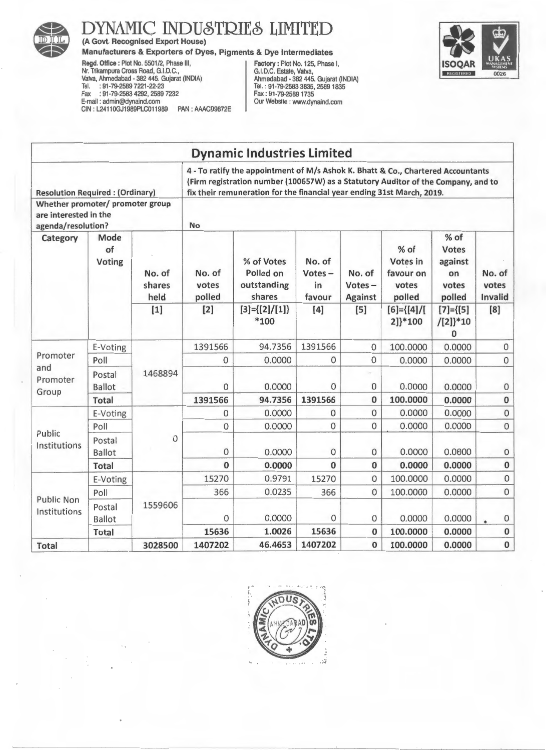

(A Govt. Recognised Export House)

Manufacturers & Exporters of Dyes, Pigments & Dye Intermediates

Regd. Office : Plot No. 5501/2, Phase Ill, Nr. Trikampura Cross Road, G.I.D.C., Valva, Ahmedabad - 382 445. Gujarat (INDIA) Tel. : 91-79-2589 7221-22-23 Fax : 91-79-2583 4292, 2589 7232 E-mail : admin@dynaind.com CIN: L24110GJ1989PLC011989 PAN: AAACD9872E

Factory: Plot No. 125, Phase I, G.I.D.C. Estate, Valva, Ahmedabad- 382 445. Gujarat (INDIA) Tel. : 91-79-2583 3835,25891835 Fax: 91-79-25891735 Our Website : www.dynaind.com



|                                                                                              |                             |                          |                           | <b>Dynamic Industries Limited</b>                                                                                                                                                                                                               |                                     |                                       |                                                  |                                                          |                            |
|----------------------------------------------------------------------------------------------|-----------------------------|--------------------------|---------------------------|-------------------------------------------------------------------------------------------------------------------------------------------------------------------------------------------------------------------------------------------------|-------------------------------------|---------------------------------------|--------------------------------------------------|----------------------------------------------------------|----------------------------|
| <b>Resolution Required: (Ordinary)</b>                                                       |                             |                          |                           | 4 - To ratify the appointment of M/s Ashok K. Bhatt & Co., Chartered Accountants<br>(Firm registration number (100657W) as a Statutory Auditor of the Company, and to<br>fix their remuneration for the financial year ending 31st March, 2019. |                                     |                                       |                                                  |                                                          |                            |
| Whether promoter/ promoter group<br>are interested in the<br>agenda/resolution?<br><b>No</b> |                             |                          |                           |                                                                                                                                                                                                                                                 |                                     |                                       |                                                  |                                                          |                            |
| Category                                                                                     | Mode<br>of<br><b>Voting</b> | No. of<br>shares<br>held | No. of<br>votes<br>polled | % of Votes<br>Polled on<br>outstanding<br>shares                                                                                                                                                                                                | No. of<br>$Votes -$<br>in<br>favour | No. of<br>$Votes -$<br><b>Against</b> | % of<br>Votes in<br>favour on<br>votes<br>polled | % of<br><b>Votes</b><br>against<br>on<br>votes<br>polled | No. of<br>votes<br>Invalid |
|                                                                                              |                             | $[1]$                    | $[2]$                     | $[3] = \{ [2] / [1] \}$<br>$*100$                                                                                                                                                                                                               | [4]                                 | [5]                                   | $[6] = \{ [4] / [$<br>2]}*100                    | $[7] = \{ [5]$<br>$/[2]$ <sup>*10</sup><br>$\bf{0}$      | [8]                        |
| Promoter                                                                                     | E-Voting                    | 1468894                  | 1391566                   | 94.7356                                                                                                                                                                                                                                         | 1391566                             | $\mathbf{0}$                          | 100.0000                                         | 0.0000                                                   | $\mathbf 0$                |
|                                                                                              | Poll                        |                          | $\mathbf 0$               | 0.0000                                                                                                                                                                                                                                          | $\mathbf 0$                         | $\mathbf{0}$                          | 0.0000                                           | 0.0000                                                   | $\mathbf{0}$               |
| and<br>Promoter<br>Group                                                                     | Postal<br><b>Ballot</b>     |                          | $\Omega$                  | 0.0000                                                                                                                                                                                                                                          | $\Omega$                            | $\mathbf 0$                           | 0.0000                                           | 0.0000                                                   | $\mathbf 0$                |
|                                                                                              | Total                       |                          | 1391566                   | 94.7356                                                                                                                                                                                                                                         | 1391566                             | 0                                     | 100.0000                                         | 0.0000                                                   | $\pmb{0}$                  |
|                                                                                              | E-Voting                    |                          | $\mathbf 0$               | 0.0000                                                                                                                                                                                                                                          | $\Omega$                            | $\overline{0}$                        | 0.0000                                           | 0.0000                                                   | $\mathbf 0$                |
| Public                                                                                       | Poll                        |                          | 0                         | 0.0000                                                                                                                                                                                                                                          | 0                                   | 0                                     | 0.0000                                           | 0.0000                                                   | $\overline{0}$             |
| Institutions                                                                                 | Postal<br><b>Ballot</b>     | $\mathbf{0}$             | $\mathbf{0}$              | 0.0000                                                                                                                                                                                                                                          | $\mathbf 0$                         | $\bf 0$                               | 0.0000                                           | 0.0000                                                   | $\mathbf 0$                |
|                                                                                              | <b>Total</b>                |                          | $\bf{0}$                  | 0.0000                                                                                                                                                                                                                                          | $\Omega$                            | $\bf{0}$                              | 0.0000                                           | 0.0000                                                   | $\bf{0}$                   |
|                                                                                              | E-Voting                    |                          | 15270                     | 0.9791                                                                                                                                                                                                                                          | 15270                               | $\mathbf 0$                           | 100.0000                                         | 0.0000                                                   | $\bf 0$                    |
|                                                                                              | Poll                        |                          | 366                       | 0.0235                                                                                                                                                                                                                                          | 366                                 | $\overline{0}$                        | 100.0000                                         | 0.0000                                                   | $\mathbf{0}$               |
| <b>Public Non</b><br>Institutions                                                            | Postal<br><b>Ballot</b>     | 1559606                  | 0                         | 0.0000                                                                                                                                                                                                                                          | $\Omega$                            | $\mathbf 0$                           | 0.0000                                           | 0.0000                                                   | $\pmb{0}$                  |
|                                                                                              | <b>Total</b>                |                          | 15636                     | 1.0026                                                                                                                                                                                                                                          | 15636                               | $\bf{0}$                              | 100.0000                                         | 0.0000                                                   | $\pmb{0}$                  |
| Total                                                                                        |                             | 3028500                  | 1407202                   | 46.4653                                                                                                                                                                                                                                         | 1407202                             | $\bf{0}$                              | 100.0000                                         | 0.0000                                                   | $\bf{0}$                   |

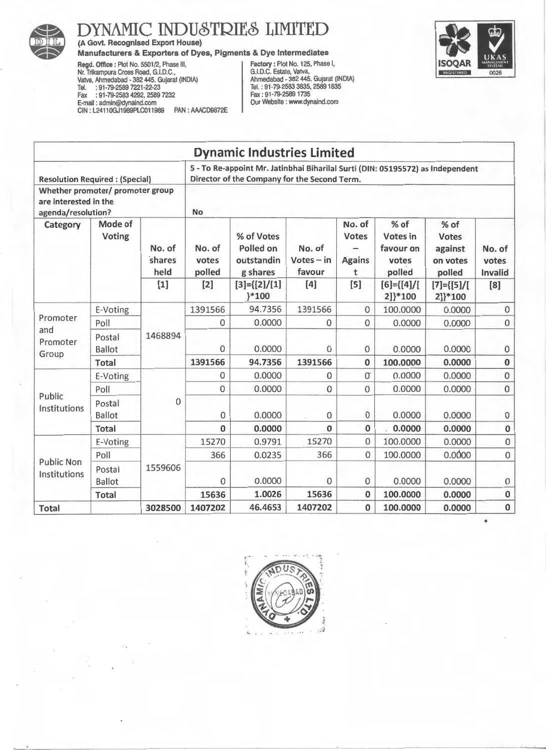

(A Govt. Recognised Export House)

Manufacturers & Exporters of Dyes, Pigments & Dye Intermediates

Regd. Office: Plot No. 5501/2, Phase III, Factory: Plot No. 125, Phase I, Nr. Trikampura Cross Road, G.I.D.C., G.I.D.C. Estate, Vatva, Vatva, Ahmedabad- 382 445. Gujarat (INDIA) Ahmedabad - 382 445. Gujarat (INDIA) Tel. :91-79-2589 7221·22-23 Tel.: 91-79-2583 3835,25891835 Fax : 91-79-2583 4292, 2589 7232 Fax : 91-79-2589 1735 Fragel. Office : Plot No. 125, Phase I,<br>
Negd. Office : Plot No. 125, Phase I,<br>
Nativa, Ahmedabad - 382 445. Gujarat (INDIA)<br>
Tel. : 91-79-2583 7221-22-23<br>
Fax : 91-79-2583 4292, 2589 7232<br>
E-mail : admin@dynaind.com<br>
Sax CIN: L24110GJ1989PLC011989 PAN: AAACD9872E



|                                                                                 |                         |                          |          | <b>Dynamic Industries Limited</b>                                                                                              |                           |                                                   |                                  |                                       |                                                    |                                                         |                            |
|---------------------------------------------------------------------------------|-------------------------|--------------------------|----------|--------------------------------------------------------------------------------------------------------------------------------|---------------------------|---------------------------------------------------|----------------------------------|---------------------------------------|----------------------------------------------------|---------------------------------------------------------|----------------------------|
| <b>Resolution Required: (Special)</b>                                           |                         |                          |          | 5 - To Re-appoint Mr. Jatinbhai Biharilal Surti (DIN: 05195572) as Independent<br>Director of the Company for the Second Term. |                           |                                                   |                                  |                                       |                                                    |                                                         |                            |
| Whether promoter/ promoter group<br>are interested in the<br>agenda/resolution? |                         |                          | No       |                                                                                                                                |                           |                                                   |                                  |                                       |                                                    |                                                         |                            |
| Mode of<br>Category<br>Voting                                                   |                         | No. of<br>shares<br>held |          |                                                                                                                                | No. of<br>votes<br>polled | % of Votes<br>Polled on<br>outstandin<br>g shares | No. of<br>$Votes - in$<br>favour | No. of<br>Votes<br><b>Agains</b><br>t | $%$ of<br>Votes in<br>favour on<br>votes<br>polled | $%$ of<br><b>Votes</b><br>against<br>on votes<br>polled | No. of<br>votes<br>Invalid |
|                                                                                 |                         | $[1]$                    | $[2]$    | $[3] = \{ [2] / [1]$<br>$\}$ *100                                                                                              | [4]                       | $[5]$                                             | $[6] = \{ [4] / [$<br>2]}*100    | $[7] = \{ [5] / [$<br>2]}*100         | [8]                                                |                                                         |                            |
| Promoter<br>and<br>Promoter                                                     | E-Voting                |                          | 1391566  | 94.7356                                                                                                                        | 1391566                   | $\Omega$                                          | 100.0000                         | 0.0000                                | $\Omega$                                           |                                                         |                            |
|                                                                                 | Poll                    | 1468894                  | 0        | 0.0000                                                                                                                         | 0                         | $\Omega$                                          | 0.0000                           | 0.0000                                | $\overline{0}$                                     |                                                         |                            |
|                                                                                 | Postal<br><b>Ballot</b> |                          | $\Omega$ | 0.0000                                                                                                                         | $\Omega$                  | 0                                                 | 0.0000                           | 0.0000                                | $\mathbf 0$                                        |                                                         |                            |
| Group                                                                           | <b>Total</b>            |                          | 1391566  | 94.7356                                                                                                                        | 1391566                   | 0                                                 | 100.0000                         | 0.0000                                | $\pmb{0}$                                          |                                                         |                            |
|                                                                                 | E-Voting                |                          | 0        | 0.0000                                                                                                                         | 0                         | $\sigma$                                          | 0.0000                           | 0.0000                                | $\mathbf{0}$                                       |                                                         |                            |
|                                                                                 | Poll                    |                          | 0        | 0.0000                                                                                                                         | $\mathbf 0$               | $\mathbf 0$                                       | 0.0000                           | 0.0000                                | $\mathbf{0}$                                       |                                                         |                            |
| Public<br>Institutions                                                          | Postal<br><b>Ballot</b> | $\boldsymbol{0}$         | 0        | 0.0000                                                                                                                         | 0                         | $\mathbf 0$                                       | 0.0000                           | 0.0000                                | 0                                                  |                                                         |                            |
|                                                                                 | <b>Total</b>            |                          | 0        | 0.0000                                                                                                                         | $\Omega$                  | $\Omega$                                          | 0.0000                           | 0.0000                                | $\pmb{0}$                                          |                                                         |                            |
|                                                                                 | E-Voting                |                          | 15270    | 0.9791                                                                                                                         | 15270                     | 0                                                 | 100.0000                         | 0.0000                                | $\mathbf{0}$                                       |                                                         |                            |
|                                                                                 | Poll                    |                          | 366      | 0.0235                                                                                                                         | 366                       | $\mathbf{0}$                                      | 100.0000                         | 0.0000                                | $\mathbf 0$                                        |                                                         |                            |
| <b>Public Non</b><br>Institutions                                               | Postal<br><b>Ballot</b> | 1559606                  | 0        | 0.0000                                                                                                                         | $\mathbf{O}$              | $\mathbf 0$                                       | 0.0000                           | 0.0000                                | $\boldsymbol{0}$                                   |                                                         |                            |
|                                                                                 | <b>Total</b>            |                          | 15636    | 1.0026                                                                                                                         | 15636                     | $\bf{0}$                                          | 100.0000                         | 0.0000                                | $\bf{0}$                                           |                                                         |                            |
| <b>Total</b>                                                                    |                         | 3028500                  | 1407202  | 46.4653                                                                                                                        | 1407202                   | $\bf{0}$                                          | 100.0000                         | 0.0000                                | $\bf{0}$                                           |                                                         |                            |

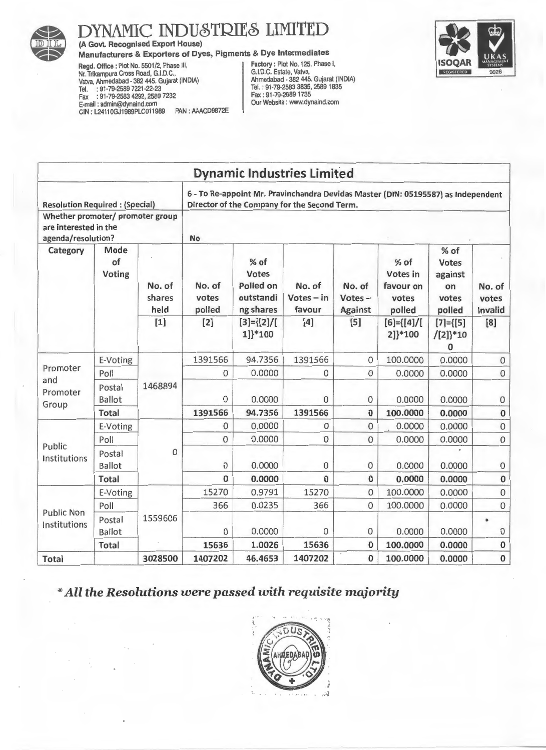

## (A Govt. Recognised Export House)

Manufacturers & Exporters of Dyes, Pigments & Dye Intermediates<br>
Regd. Office: Plot No. 5501/2, Phase III,<br>
Nr. Trikampura Cross Road, G.I.D.C.,<br>
Vatva, Ahmedabad - 382 445. Gujarat (INDIA)<br>
Tel. : 91-79-2583 7221-22-23<br>
T Regd. Office: Plot No. 5501/2, Phase III, Factory: Plot No. 125, Phase I, Nr. Trikampura Cross Road, G.I.D.C., G.I.D.C. Estate, Vatva, Vatva, Ahmedabad. 382 445. Gujarat (INDIA) Ahmedabad • 382 445. Gujarat (INDIA) Tel. : 91-79-2589 7221-22-23 Tel. : 91-79-2583 3835,25891835 Fax : 91-79-2583 4292, 2589 7232 Fax: 91-79-25891735 E-mail : admin@dynaind.com Our Website : www.dynaind.com GIN: L24110GJ1989PLC011989 PAN : AAACD9872E



|                                                                                 |                             |                          |                           |                                                             | <b>Dynamic Industries Limited</b>                                                                                                 |                                       |                                                  |                                                            |                               |
|---------------------------------------------------------------------------------|-----------------------------|--------------------------|---------------------------|-------------------------------------------------------------|-----------------------------------------------------------------------------------------------------------------------------------|---------------------------------------|--------------------------------------------------|------------------------------------------------------------|-------------------------------|
| <b>Resolution Required: (Special)</b>                                           |                             |                          |                           |                                                             | 6 - To Re-appoint Mr. Pravinchandra Devidas Master (DIN: 05195587) as Independent<br>Director of the Company for the Second Term. |                                       |                                                  |                                                            |                               |
| Whether promoter/ promoter group<br>are interested in the<br>agenda/resolution? |                             |                          | No                        |                                                             |                                                                                                                                   |                                       |                                                  |                                                            |                               |
| Category                                                                        | Mode<br>of<br><b>Voting</b> | No. of<br>shares<br>held | No. of<br>votes<br>polled | % of<br><b>Votes</b><br>Polled on<br>outstandi<br>ng shares | No. of<br>$Votes - in$<br>favour                                                                                                  | No. of<br>$Votes -$<br><b>Against</b> | % of<br>Votes in<br>favour on<br>votes<br>polled | $%$ of<br><b>Votes</b><br>against<br>on<br>votes<br>polled | No. of<br>votes<br>Invalid    |
|                                                                                 |                             | $[1]$                    | $[2]$                     | $[3] = \{ [2] / [$<br>1]}*100                               | $[4]$                                                                                                                             | [5]                                   | $[6] = \{ [4] / [$<br>2]}*100                    | $[7] = {[5]}$<br>$/[2]$ <sup>*10</sup><br>$\bf{0}$         | [8]                           |
| E-Voting<br>Promoter<br>Poll                                                    |                             | 1391566                  | 94.7356                   | 1391566                                                     | $\overline{0}$                                                                                                                    | 100.0000                              | 0.0000                                           | $\mathbf{O}$                                               |                               |
|                                                                                 |                             | 1468894                  | 0                         | 0.0000                                                      | $\mathbf 0$                                                                                                                       | $\mathbf{0}$                          | 0.0000                                           | 0.0000                                                     | 0                             |
| and<br>Promoter<br>Group                                                        | Postal<br><b>Ballot</b>     |                          | 0                         | 0.0000                                                      | $\mathbf{0}$                                                                                                                      | $\mathbf 0$                           | 0.0000                                           | 0.0000                                                     | $\boldsymbol{0}$              |
|                                                                                 | <b>Total</b>                |                          | 1391566                   | 94.7356                                                     | 1391566                                                                                                                           | $\bf{0}$                              | 100.0000                                         | 0.0000                                                     | $\bf{0}$                      |
|                                                                                 | E-Voting                    |                          | 0                         | 0.0000                                                      | $\Omega$                                                                                                                          | $\overline{0}$                        | 0.0000                                           | 0.0000                                                     | $\mathbf 0$                   |
| Public                                                                          | Poll                        |                          | 0                         | 0.0000                                                      | 0                                                                                                                                 | $\mathbf 0$                           | 0.0000                                           | 0.0000                                                     | $\mathbf 0$                   |
| Institutions                                                                    | Postal<br><b>Ballot</b>     | 0                        | 0                         | 0.0000                                                      | $\mathbf 0$                                                                                                                       | 0                                     | 0.0000                                           | 0.0000                                                     | $\pmb{0}$                     |
|                                                                                 | <b>Total</b>                |                          | $\mathbf{0}$              | 0.0000                                                      | $\Omega$                                                                                                                          | $\mathbf{0}$                          | 0.0000                                           | 0.0000                                                     | $\pmb{0}$                     |
|                                                                                 | E-Voting                    |                          | 15270                     | 0.9791                                                      | 15270                                                                                                                             | $\mathbf{0}$                          | 100.0000                                         | 0.0000                                                     | 0                             |
| <b>Public Non</b>                                                               | Poll                        |                          | 366                       | 0.0235                                                      | 366                                                                                                                               | $\mathbf 0$                           | 100.0000                                         | 0.0000                                                     | 0                             |
| Institutions                                                                    | Postal<br><b>Ballot</b>     | 1559606                  | 0                         | 0.0000                                                      | 0                                                                                                                                 | $\mathbf 0$                           | 0.0000                                           | 0.0000                                                     | $\bullet$<br>$\boldsymbol{0}$ |
|                                                                                 | <b>Total</b>                |                          | 15636                     | 1.0026                                                      | 15636                                                                                                                             | $\bf{0}$                              | 100.0000                                         | 0.0000                                                     | 0                             |
| <b>Total</b>                                                                    |                             | 3028500                  | 1407202                   | 46.4653                                                     | 1407202                                                                                                                           | $\bf{0}$                              | 100.0000                                         | 0.0000                                                     | $\bf{0}$                      |

#### *\*All the Resolutions* were *passed with* requisite *majority*

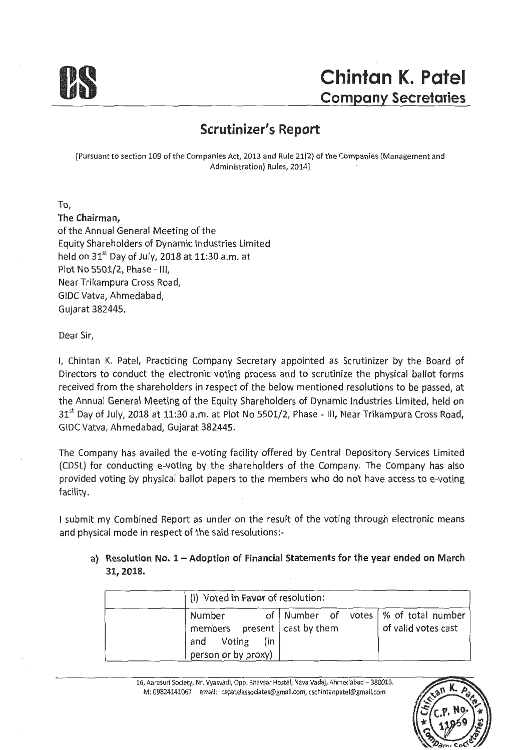

### **Scrutinizer's Report**

[Pursuant to section 109 of the Companies Act, 2013 and Rule 21(2) of the Companies (Management and Administration) Rules, 2014)

To,

**The Chairman,**  of the Annual General Meeting of the Equity Shareholders of Dynamic Industries Limited held on  $31<sup>st</sup>$  Day of July, 2018 at 11:30 a.m. at Plot No 5501/2, Phase - Ill, Near Trikampura Cross Road, GIDC Vatva, Ahmedabad, Gujarat 382445.

Dear Sir,

I, Chintan K. Patel, Practicing Company Secretary appointed as Scrutinizer by the Board of Directors to conduct the electronic voting process and to scrutinize the physical ballot forms received from the shareholders in respect of the below mentioned resolutions to be passed, at the Annual General Meeting of the Equity Shareholders of Dynamic Industries Limited, held on  $31<sup>st</sup>$  Day of July, 2018 at 11:30 a.m. at Plot No 5501/2, Phase - III, Near Trikampura Cross Road, GIDC Vatva, Ahmedabad, Gujarat 382445.

The Company has availed the e-voting facility offered by Central Depository Services Limited (CDSL) for conducting e-voting by the shareholders of the Company. The Company has also provided voting by physical ballot papers to the members who do not have access to e-voting facility.

I submit my Combined Report as under on the result of the voting through electronic means and physical mode in respect of the said resolutions:-

#### a) Resolution No. 1 - Adoption of Financial Statements for the year ended on March **31, 2018.**

|        | (i) Voted in Favor of resolution:                                             |                                        |                     |
|--------|-------------------------------------------------------------------------------|----------------------------------------|---------------------|
| Number | members present $\vert$ cast by them<br>and Voting (in<br>person or by proxy) | of Number of votes   % of total number | of valid votes cast |

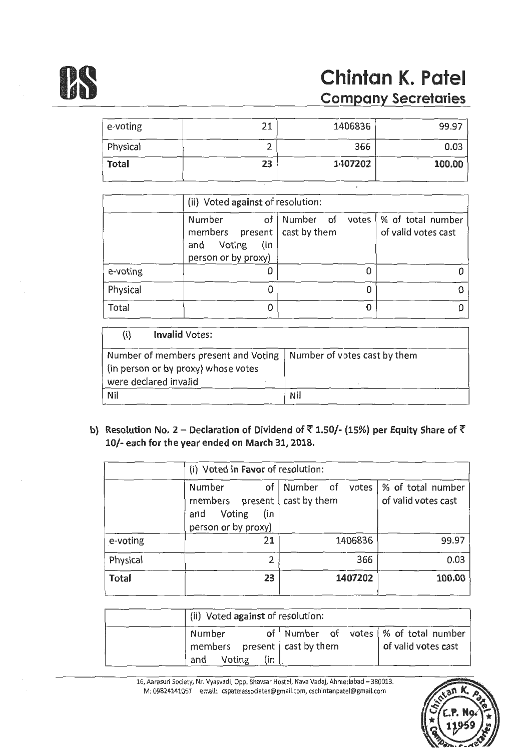

# **OS Chintan K. Patel Company Secretaries**

| e-voting     | 21 | 1406836 | 99.97  |
|--------------|----|---------|--------|
| Physical     |    | 366     | 0.03   |
| <b>Total</b> | 23 | 1407202 | 100.00 |

|          |                                                                                | (ii) Voted against of resolution: |   |                                                            |  |  |  |  |
|----------|--------------------------------------------------------------------------------|-----------------------------------|---|------------------------------------------------------------|--|--|--|--|
|          | Number<br>of<br>members present<br>Voting<br>(in<br>and<br>person or by proxy) | cast by them                      |   | Number of votes   % of total number<br>of valid votes cast |  |  |  |  |
| e-voting |                                                                                |                                   |   |                                                            |  |  |  |  |
| Physical |                                                                                |                                   |   |                                                            |  |  |  |  |
| Total    |                                                                                |                                   | Ω |                                                            |  |  |  |  |

| <b>Invalid Votes:</b>                                                                                                               |            |
|-------------------------------------------------------------------------------------------------------------------------------------|------------|
| Number of members present and Voting   Number of votes cast by them<br>(in person or by proxy) whose votes<br>were declared invalid |            |
| Nil                                                                                                                                 | <b>Nil</b> |

b) Resolution No. 2 - Declaration of Dividend of  $\bar{\tau}$  1.50/- (15%) per Equity Share of  $\bar{\tau}$ 10/- each for the year ended on March 31, 2018.

|          |                                                                                     | (i) Voted in Favor of resolution:  |                                          |  |  |  |  |  |
|----------|-------------------------------------------------------------------------------------|------------------------------------|------------------------------------------|--|--|--|--|--|
|          | Number<br>of<br>members<br>present  <br>Voting<br>(in<br>and<br>person or by proxy) | Number of<br>votes<br>cast by them | % of total number<br>of valid votes cast |  |  |  |  |  |
| e-voting | 21                                                                                  | 1406836                            | 99.97                                    |  |  |  |  |  |
| Physical | $\overline{2}$                                                                      | 366                                | 0.03                                     |  |  |  |  |  |
| Total    | 23                                                                                  | 1407202                            | 100.00                                   |  |  |  |  |  |

| (ii) Voted against of resolution:                                                          |                                                               |
|--------------------------------------------------------------------------------------------|---------------------------------------------------------------|
| Number<br>$\frac{1}{2}$ members present $\frac{1}{2}$ cast by them<br>Voting<br>(in<br>and | of Number of votes   % of total number<br>of valid votes cast |

16, Aarasuri Society, Nr. Vyasvadi, Opp. Bhavsar Hostel, Nava Vadaj, Ahmeclabad -380013. M: 09824141067 email: cspatelassociates@gmail.com, cschintanpatel@gmail.com

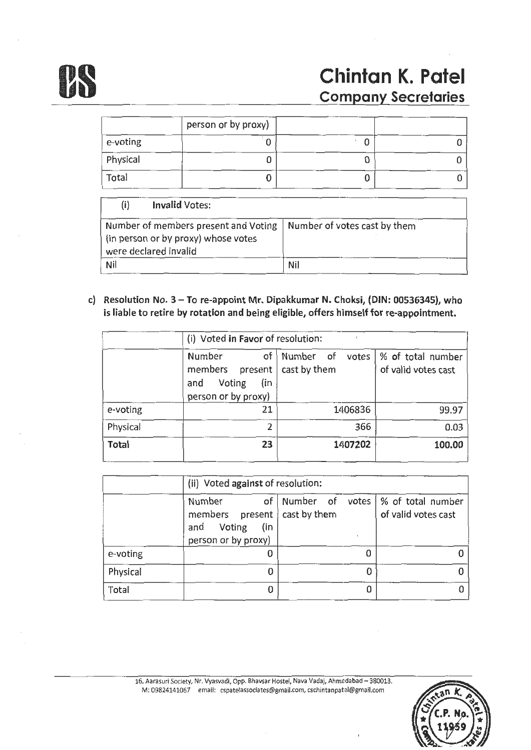

# **us Chintan K. Patel**<br>
<u>Company Secretaries</u>

|          | person or by proxy) |   |  |
|----------|---------------------|---|--|
| e-voting |                     | u |  |
| Physical |                     |   |  |
| Total    |                     |   |  |

| (i)<br><b>Invalid Votes:</b>                                                                                                        |     |
|-------------------------------------------------------------------------------------------------------------------------------------|-----|
| Number of members present and Voting   Number of votes cast by them<br>(in person or by proxy) whose votes<br>were declared invalid |     |
| Nil                                                                                                                                 | Nil |

c) Resolution No. 3 - To re-appoint Mr. Dipakkumar N. Choksi, (DIN: 00536345), who is liable to retire by rotation and being eligible, offers himself for re-appointment.

|              | (i) Voted in Favor of resolution:                                                |                                    |                                          |
|--------------|----------------------------------------------------------------------------------|------------------------------------|------------------------------------------|
|              | Number<br>of<br>members present  <br>Voting<br>(in<br>and<br>person or by proxy) | Number of<br>votes<br>cast by them | % of total number<br>of valid votes cast |
| e-voting     | 21                                                                               | 1406836                            | 99.97                                    |
| Physical     | 2                                                                                | 366                                | 0.03                                     |
| <b>Total</b> | 23                                                                               | 1407202                            | 100.00                                   |

|          |                                                                                         | (ii) Voted against of resolution:      |                     |  |
|----------|-----------------------------------------------------------------------------------------|----------------------------------------|---------------------|--|
|          | Number<br>members present   cast by them<br>(in<br>Voting<br>and<br>person or by proxy) | of Number of votes   % of total number | of valid votes cast |  |
| e-voting |                                                                                         |                                        |                     |  |
| Physical | 0                                                                                       | 0                                      |                     |  |
| Total    | 0                                                                                       | 0                                      |                     |  |

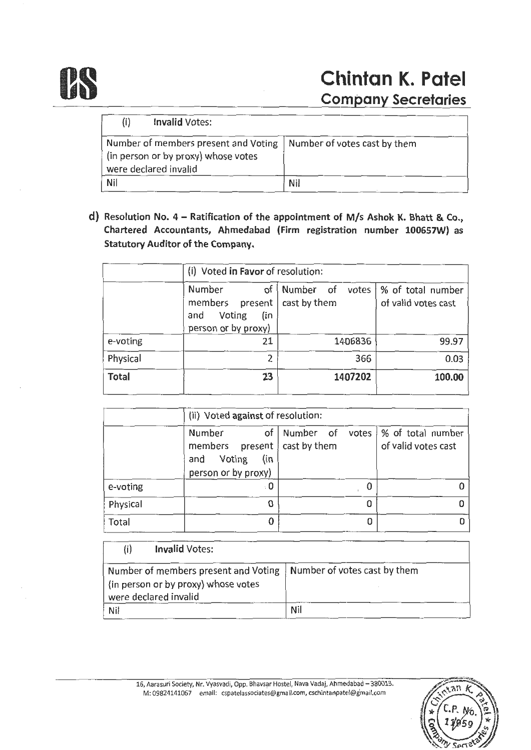

| (i)<br><b>Invalid Votes:</b>                                                                                                        |            |
|-------------------------------------------------------------------------------------------------------------------------------------|------------|
| Number of members present and Voting   Number of votes cast by them<br>(in person or by proxy) whose votes<br>were declared invalid |            |
| <b>Nil</b>                                                                                                                          | <b>Nil</b> |

d) Resolution No. 4 - Ratification of the appointment of M/s Ashok K. Bhatt & Co., Chartered Accountants, Ahmedabad (Firm registration number 100657W) as Statutory Auditor of the Company.

|              |                                                                                   | (i) Voted in Favor of resolution:  |                                          |  |
|--------------|-----------------------------------------------------------------------------------|------------------------------------|------------------------------------------|--|
|              | Number<br>οf<br>members<br>present<br>Voting<br>(in<br>and<br>person or by proxy) | Number of<br>votes<br>cast by them | % of total number<br>of valid votes cast |  |
| e-voting     | 21                                                                                | 1406836                            | 99.97                                    |  |
| Physical     | 2                                                                                 | 366                                | 0.03                                     |  |
| <b>Total</b> | 23                                                                                | 1407202                            | 100.00                                   |  |

|          | (ii) Voted against of resolution:                                              |              |                                                            |
|----------|--------------------------------------------------------------------------------|--------------|------------------------------------------------------------|
|          | of<br>Number<br>members present<br>Voting<br>(in<br>and<br>person or by proxy) | cast by them | Number of votes   % of total number<br>of valid votes cast |
| e-voting | : 0                                                                            |              |                                                            |
| Physical | 0                                                                              |              |                                                            |
| Total    | 0                                                                              |              |                                                            |

(i) Invalid Votes:

| Number of members present and Voting   Number of votes cast by them |     |
|---------------------------------------------------------------------|-----|
| (in person or by proxy) whose votes                                 |     |
| were declared invalid                                               |     |
| Nil                                                                 | Nil |

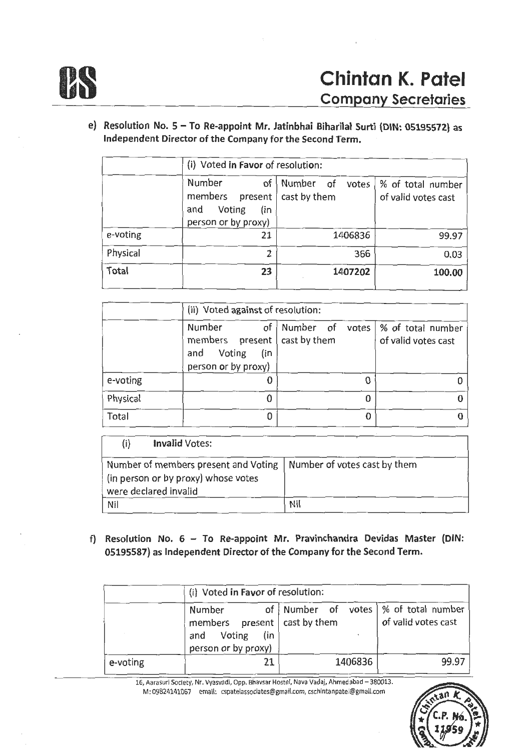

e) Resolution No. 5 - To Re-appoint Mr. Jatinbhai Biharilal Surti (DIN: 05195572) as Independent Director of the Company for the Second Term.

|              | (i) Voted in Favor of resolution:                                                 |                                    |                                          |
|--------------|-----------------------------------------------------------------------------------|------------------------------------|------------------------------------------|
|              | Number<br>of<br>members<br>present<br>Voting<br>(in<br>and<br>person or by proxy) | Number of<br>votes<br>cast by them | % of total number<br>of valid votes cast |
| e-voting     | 21                                                                                | 1406836                            | 99.97                                    |
| Physical     | ን                                                                                 | 366                                | 0.03                                     |
| <b>Total</b> | 23                                                                                | 1407202                            | 100.00                                   |

|          | (ii) Voted against of resolution:                                                                 |  |   |                                                            |
|----------|---------------------------------------------------------------------------------------------------|--|---|------------------------------------------------------------|
|          | Number<br>of  <br>members $present   cast by them$<br>Voting<br>(in<br>and<br>person or by proxy) |  |   | Number of votes   % of total number<br>of valid votes cast |
| e-voting |                                                                                                   |  |   |                                                            |
| Physical |                                                                                                   |  | O |                                                            |
| Total    |                                                                                                   |  |   |                                                            |

| <b>Invalid Votes:</b>                                                                                                               |     |
|-------------------------------------------------------------------------------------------------------------------------------------|-----|
| Number of members present and Voting   Number of votes cast by them<br>(in person or by proxy) whose votes<br>were declared invalid |     |
| Nil                                                                                                                                 | Nil |

f) Resolution No.  $6 - To$  Re-appoint Mr. Pravinchandra Devidas Master (DIN: 05195587) as Independent Director of the Company for the Second Term.

|          | (i) Voted in Favor of resolution:                                                         |                                        |                     |
|----------|-------------------------------------------------------------------------------------------|----------------------------------------|---------------------|
|          | Number<br>members $present   cast by them$<br>Voting<br>(in<br>and<br>person or by proxy) | of Number of votes   % of total number | of valid votes cast |
| e-voting | 21                                                                                        | 1406836                                | 99.97               |

16, Aarasuri Society, Nr. Vyasvadi, Opp. Bhavsar Hostel, Nava Vadaj, Ahmedabad - 380013. M: 09824141067 email: cspatelassociates@gmail.com, cschintanpate!@gmail.com